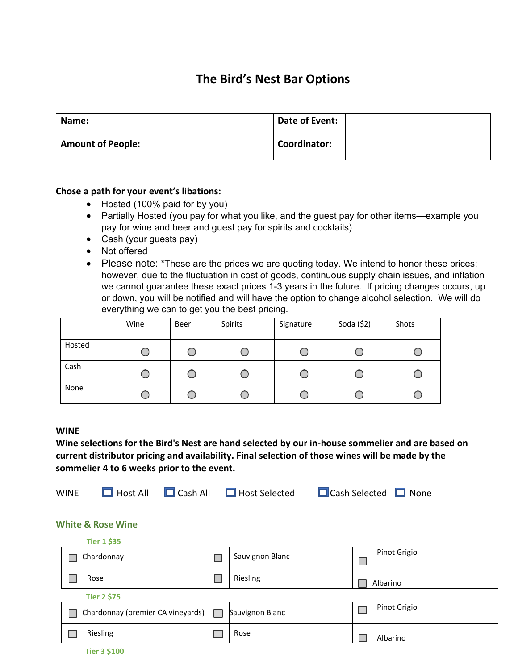# **The Bird's Nest Bar Options**

| Name:                    | Date of Event: |  |
|--------------------------|----------------|--|
| <b>Amount of People:</b> | Coordinator:   |  |

### **Chose a path for your event's libations:**

- Hosted (100% paid for by you)
- Partially Hosted (you pay for what you like, and the guest pay for other items—example you pay for wine and beer and guest pay for spirits and cocktails)
- Cash (your guests pay)
- Not offered
- Please note: \*These are the prices we are quoting today. We intend to honor these prices; however, due to the fluctuation in cost of goods, continuous supply chain issues, and inflation we cannot guarantee these exact prices 1-3 years in the future. If pricing changes occurs, up or down, you will be notified and will have the option to change alcohol selection. We will do everything we can to get you the best pricing.

|        | Wine | Beer | Spirits | Signature | Soda (\$2) | Shots |
|--------|------|------|---------|-----------|------------|-------|
| Hosted | U    |      |         |           |            |       |
| Cash   | U    |      |         | U         |            |       |
| None   | Ő    |      |         |           | €.         |       |

#### **WINE**

**Wine selections for the Bird's Nest are hand selected by our in-house sommelier and are based on current distributor pricing and availability. Final selection of those wines will be made by the sommelier 4 to 6 weeks prior to the event.**



### **White & Rose Wine**

|  | <b>Tier 1 \$35</b>                |   |                 |              |
|--|-----------------------------------|---|-----------------|--------------|
|  | Chardonnay                        |   | Sauvignon Blanc | Pinot Grigio |
|  | Rose                              |   | Riesling        | Albarino     |
|  | <b>Tier 2 \$75</b>                |   |                 |              |
|  | Chardonnay (premier CA vineyards) | H | Sauvignon Blanc | Pinot Grigio |
|  | Riesling                          |   | Rose            | Albarino     |
|  | <b>THE REAGAN</b>                 |   |                 |              |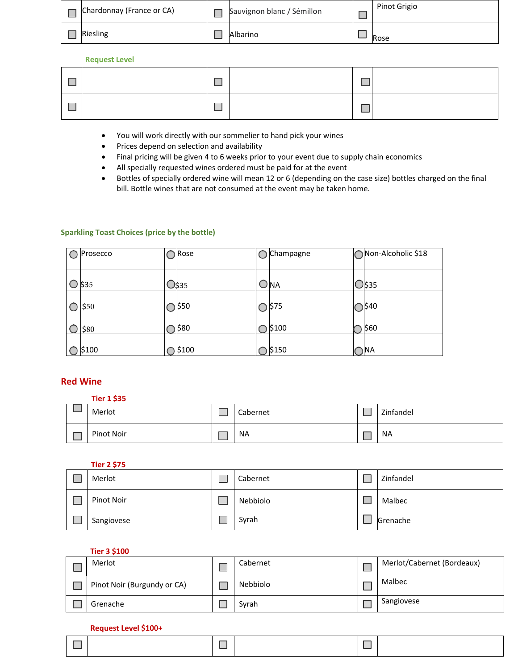| Chardonnay (France or CA) | Sauvignon blanc / Sémillon | Pinot Grigio |
|---------------------------|----------------------------|--------------|
| Riesling                  | Albarino                   | Rose         |

#### **Request Level**

- You will work directly with our sommelier to hand pick your wines
- Prices depend on selection and availability
- Final pricing will be given 4 to 6 weeks prior to your event due to supply chain economics
- All specially requested wines ordered must be paid for at the event
- Bottles of specially ordered wine will mean 12 or 6 (depending on the case size) bottles charged on the final bill. Bottle wines that are not consumed at the event may be taken home.

#### **Sparkling Toast Choices (price by the bottle)**

| C | Prosecco | ◯ Rose           | Champagne | Non-Alcoholic \$18 |
|---|----------|------------------|-----------|--------------------|
|   | $O$ \$35 | O\$35            | 'NA       | <b>D\$35</b>       |
|   | \$50     | ) \$50           | \$75      | 540                |
|   | \$80     | <b>580</b>       | \$100     | \$60               |
|   | \$100    | $\bigcirc$ \$100 | \$150     | O <sub>NA</sub>    |

### **Red Wine**

| <b>Tier 1 \$35</b> |           |           |
|--------------------|-----------|-----------|
| Merlot             | Cabernet  | Zinfandel |
| Pinot Noir         | <b>NA</b> | <b>NA</b> |

| <b>Tier 2 \$75</b> |          |           |
|--------------------|----------|-----------|
| Merlot             | Cabernet | Zinfandel |
| Pinot Noir         | Nebbiolo | Malbec    |
| Sangiovese         | Syrah    | Grenache  |

#### **Tier 3 \$100**

| Merlot                      | Cabernet | Merlot/Cabernet (Bordeaux) |
|-----------------------------|----------|----------------------------|
| Pinot Noir (Burgundy or CA) | Nebbiolo | Malbec                     |
| Grenache                    | Syrah    | Sangiovese                 |

#### **Request Level \$100+**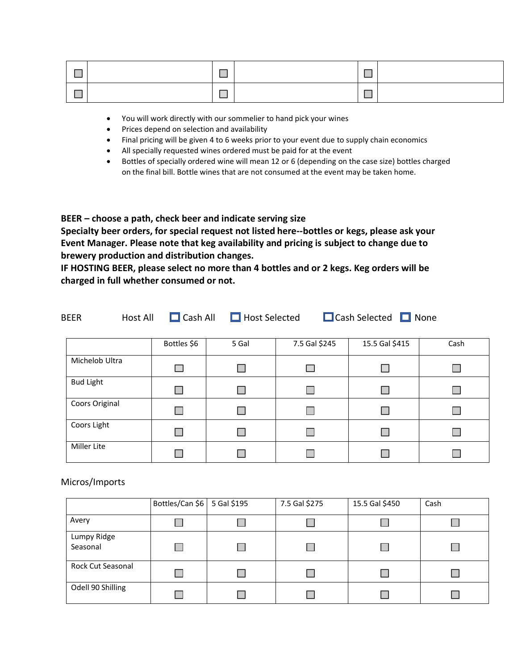- You will work directly with our sommelier to hand pick your wines
- Prices depend on selection and availability
- Final pricing will be given 4 to 6 weeks prior to your event due to supply chain economics
- All specially requested wines ordered must be paid for at the event
- Bottles of specially ordered wine will mean 12 or 6 (depending on the case size) bottles charged on the final bill. Bottle wines that are not consumed at the event may be taken home.

**BEER – choose a path, check beer and indicate serving size**

**Specialty beer orders, for special request not listed here--bottles or kegs, please ask your Event Manager. Please note that keg availability and pricing is subject to change due to brewery production and distribution changes.**

**IF HOSTING BEER, please select no more than 4 bottles and or 2 kegs. Keg orders will be charged in full whether consumed or not.** 

| <b>Host All</b><br><b>BEER</b> |  | $\Box$ Cash All | $\Box$ Host Selected |               | $\Box$ Cash Selected $\Box$ None |      |
|--------------------------------|--|-----------------|----------------------|---------------|----------------------------------|------|
|                                |  | Bottles \$6     | 5 Gal                | 7.5 Gal \$245 | 15.5 Gal \$415                   | Cash |
| Michelob Ultra                 |  | <b>COL</b>      |                      |               |                                  |      |
| <b>Bud Light</b>               |  | H               |                      |               |                                  |      |
| Coors Original                 |  |                 |                      |               | $\Box$                           |      |
| Coors Light                    |  | H               |                      |               | H                                |      |
| Miller Lite                    |  |                 |                      |               |                                  |      |

Micros/Imports

|                          | Bottles/Can \$6 5 Gal \$195 | 7.5 Gal \$275 | 15.5 Gal \$450 | Cash |
|--------------------------|-----------------------------|---------------|----------------|------|
| Avery                    |                             |               |                |      |
| Lumpy Ridge<br>Seasonal  |                             |               |                |      |
| <b>Rock Cut Seasonal</b> |                             |               |                |      |
| Odell 90 Shilling        |                             |               |                |      |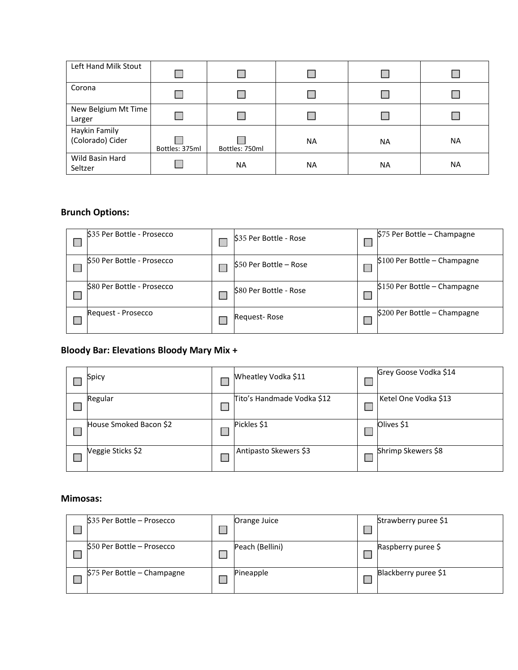| Left Hand Milk Stout              |                |                |           |           |           |
|-----------------------------------|----------------|----------------|-----------|-----------|-----------|
| Corona                            |                |                |           |           |           |
| New Belgium Mt Time<br>Larger     |                |                |           |           |           |
| Haykin Family<br>(Colorado) Cider | Bottles: 375ml | Bottles: 750ml | <b>NA</b> | <b>NA</b> | <b>NA</b> |
| Wild Basin Hard<br>Seltzer        |                | <b>NA</b>      | <b>NA</b> | <b>NA</b> | <b>NA</b> |

# **Brunch Options:**

| \$35 Per Bottle - Prosecco | S35 Per Bottle - Rose  | \$75 Per Bottle - Champagne   |
|----------------------------|------------------------|-------------------------------|
| S50 Per Bottle - Prosecco  | \$50 Per Bottle - Rose | $$100$ Per Bottle - Champagne |
| \$80 Per Bottle - Prosecco | S80 Per Bottle - Rose  | \$150 Per Bottle - Champagne  |
| Request - Prosecco         | Request-Rose           | \$200 Per Bottle - Champagne  |

# **Bloody Bar: Elevations Bloody Mary Mix +**

| Spicy                  | Wheatley Vodka \$11        | Grey Goose Vodka \$14 |
|------------------------|----------------------------|-----------------------|
| Regular                | Tito's Handmade Vodka \$12 | Ketel One Vodka \$13  |
| House Smoked Bacon \$2 | Pickles \$1                | Olives \$1            |
| Veggie Sticks \$2      | Antipasto Skewers \$3      | Shrimp Skewers \$8    |

## **Mimosas:**

| $$35$ Per Bottle – Prosecco | Orange Juice    | Strawberry puree \$1 |
|-----------------------------|-----------------|----------------------|
| \$50 Per Bottle - Prosecco  | Peach (Bellini) | Raspberry puree \$   |
| \$75 Per Bottle - Champagne | Pineapple       | Blackberry puree \$1 |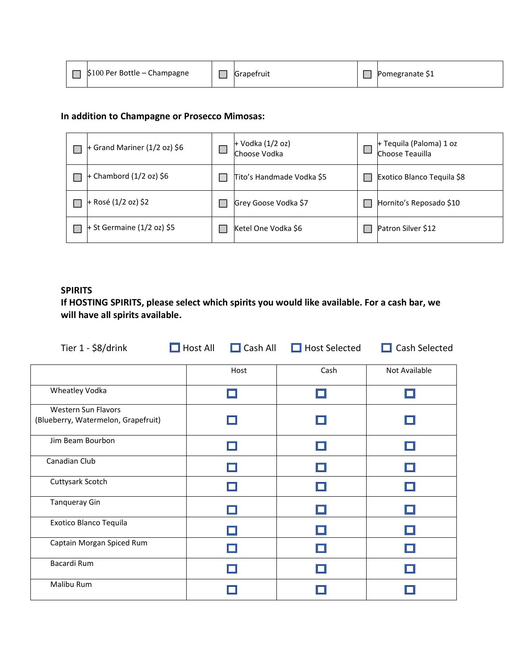|  | \$100 Per Bottle - Champagne |  | <b>Grapetruit</b> |  | 'omegranate \$1 |
|--|------------------------------|--|-------------------|--|-----------------|
|--|------------------------------|--|-------------------|--|-----------------|

## **In addition to Champagne or Prosecco Mimosas:**

| + Grand Mariner $(1/2 oz)$ \$6 | + Vodka (1/2 oz)<br>Choose Vodka | + Tequila (Paloma) 1 oz<br>Choose Teauilla |
|--------------------------------|----------------------------------|--------------------------------------------|
| + Chambord $(1/2 oz)$ \$6      | Tito's Handmade Vodka \$5        | Exotico Blanco Tequila \$8                 |
| + Rosé (1/2 oz) \$2            | Grey Goose Vodka \$7             | Hornito's Reposado \$10                    |
| + St Germaine $(1/2$ oz) \$5   | Ketel One Vodka \$6              | Patron Silver \$12                         |

## **SPIRITS**

**If HOSTING SPIRITS, please select which spirits you would like available. For a cash bar, we will have all spirits available.**

| Tier 1 - \$8/drink                  | $\Box$ Host All | $\Box$ Cash All | $\Box$ Host Selected | $\Box$ Cash Selected |
|-------------------------------------|-----------------|-----------------|----------------------|----------------------|
|                                     |                 | Host            | Cash                 | Not Available        |
| Wheatley Vodka                      |                 |                 |                      |                      |
| Western Sun Flavors                 |                 |                 |                      |                      |
| (Blueberry, Watermelon, Grapefruit) |                 |                 |                      |                      |
| Jim Beam Bourbon                    |                 |                 |                      |                      |
| Canadian Club                       |                 |                 |                      |                      |
| Cuttysark Scotch                    |                 |                 |                      |                      |
| Tanqueray Gin                       |                 |                 |                      |                      |
| Exotico Blanco Tequila              |                 |                 |                      |                      |
| Captain Morgan Spiced Rum           |                 |                 |                      |                      |
| Bacardi Rum                         |                 |                 |                      |                      |
| Malibu Rum                          |                 |                 |                      |                      |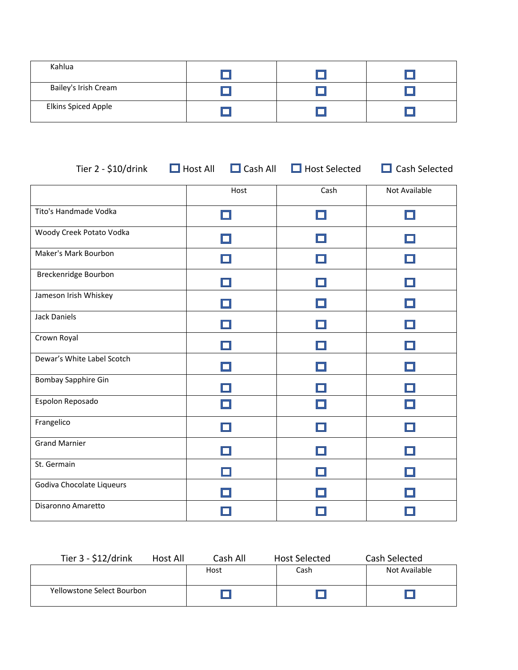| Kahlua                     |  |  |
|----------------------------|--|--|
| Bailey's Irish Cream       |  |  |
| <b>Elkins Spiced Apple</b> |  |  |

| Tier 2 - \$10/drink        | $\Box$ Host All<br>$\Box$ Cash All | $\Box$ Host Selected | $\Box$ Cash Selected |
|----------------------------|------------------------------------|----------------------|----------------------|
|                            | Host                               | Cash                 | Not Available        |
| Tito's Handmade Vodka      |                                    | H                    |                      |
| Woody Creek Potato Vodka   |                                    |                      |                      |
| Maker's Mark Bourbon       |                                    |                      |                      |
| Breckenridge Bourbon       |                                    |                      |                      |
| Jameson Irish Whiskey      |                                    |                      |                      |
| <b>Jack Daniels</b>        |                                    |                      |                      |
| Crown Royal                |                                    |                      |                      |
| Dewar's White Label Scotch |                                    |                      |                      |
| <b>Bombay Sapphire Gin</b> |                                    |                      |                      |
| Espolon Reposado           |                                    |                      |                      |
| Frangelico                 |                                    |                      |                      |
| <b>Grand Marnier</b>       |                                    |                      |                      |
| St. Germain                |                                    |                      |                      |
| Godiva Chocolate Liqueurs  |                                    |                      |                      |
| Disaronno Amaretto         |                                    |                      |                      |

| Tier $3 - $12/d$ rink      | Host All | Cash All | <b>Host Selected</b> | Cash Selected |
|----------------------------|----------|----------|----------------------|---------------|
|                            |          | Host     | Cash                 | Not Available |
| Yellowstone Select Bourbon |          |          |                      |               |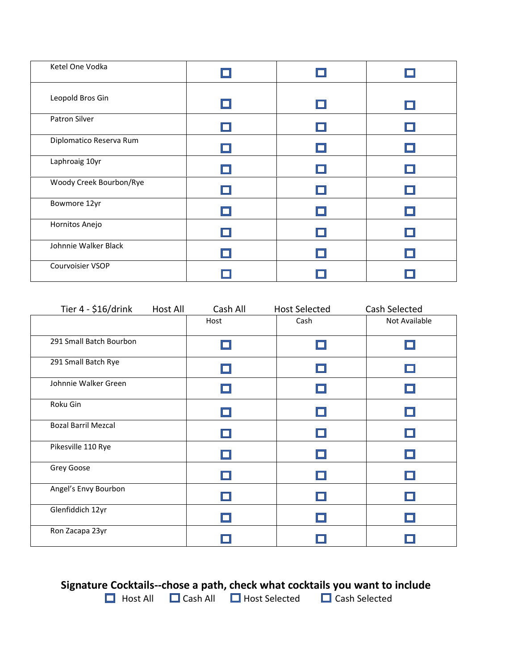| Ketel One Vodka         |  |  |
|-------------------------|--|--|
| Leopold Bros Gin        |  |  |
| Patron Silver           |  |  |
| Diplomatico Reserva Rum |  |  |
| Laphroaig 10yr          |  |  |
| Woody Creek Bourbon/Rye |  |  |
| Bowmore 12yr            |  |  |
| Hornitos Anejo          |  |  |
| Johnnie Walker Black    |  |  |
| Courvoisier VSOP        |  |  |

| Tier 4 - \$16/drink<br><b>Host All</b> | Cash All | <b>Host Selected</b> | Cash Selected |
|----------------------------------------|----------|----------------------|---------------|
|                                        | Host     | Cash                 | Not Available |
| 291 Small Batch Bourbon                |          |                      |               |
| 291 Small Batch Rye                    |          |                      |               |
| Johnnie Walker Green                   |          |                      |               |
| Roku Gin                               |          |                      |               |
| <b>Bozal Barril Mezcal</b>             |          |                      |               |
| Pikesville 110 Rye                     |          |                      |               |
| Grey Goose                             |          |                      |               |
| Angel's Envy Bourbon                   |          |                      |               |
| Glenfiddich 12yr                       |          |                      |               |
| Ron Zacapa 23yr                        |          |                      |               |

# **Signature Cocktails--chose a path, check what cocktails you want to include**

Host All  $\Box$  Cash All  $\Box$  Host Selected  $\Box$  Cash Selected